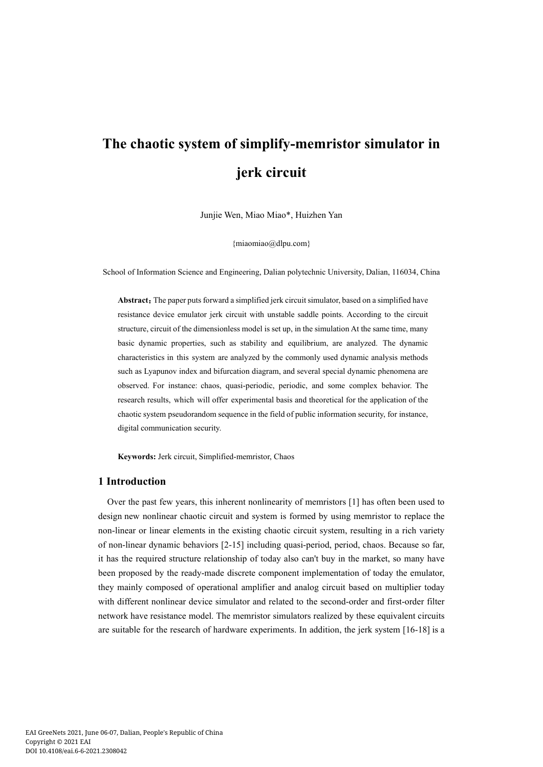# **The chaotic system of simplify-memristor simulator in jerk circuit**

Junjie Wen, Miao Miao\*, Huizhen Yan

[{miaomiao@dlpu.com}](mailto:miaomiao@dlpu.com)

School of Information Science and Engineering, Dalian polytechnic University, Dalian, 116034, China

Abstract: The paper puts forward a simplified jerk circuit simulator, based on a simplified have resistance device emulator jerk circuit with unstable saddle points. According to the circuit structure, circuit of the dimensionless model is set up, in the simulation At the same time, many basic dynamic properties, such as stability and equilibrium, are analyzed. The dynamic characteristics in this system are analyzed by the commonly used dynamic analysis methods such as Lyapunov index and bifurcation diagram, and several special dynamic phenomena are observed. For instance: chaos, quasi-periodic, periodic, and some complex behavior. The research results, which will offer experimental basis and theoretical for the application of the chaotic system pseudorandom sequence in the field of public information security, for instance, digital communication security.

**Keywords:** Jerk circuit, Simplified-memristor, Chaos

# **1 Introduction**

Over the past few years, this inherent nonlinearity of memristors [1] has often been used to design new nonlinear chaotic circuit and system is formed by using memristor to replace the non-linear or linear elements in the existing chaotic circuit system, resulting in a rich variety of non-linear dynamic behaviors [2-15] including quasi-period, period, chaos. Because so far, it has the required structure relationship of today also can't buy in the market, so many have been proposed by the ready-made discrete component implementation of today the emulator, they mainly composed of operational amplifier and analog circuit based on multiplier today with different nonlinear device simulator and related to the second-order and first-order filter network have resistance model. The memristor simulators realized by these equivalent circuits are suitable for the research of hardware experiments. In addition, the jerk system [16-18] is a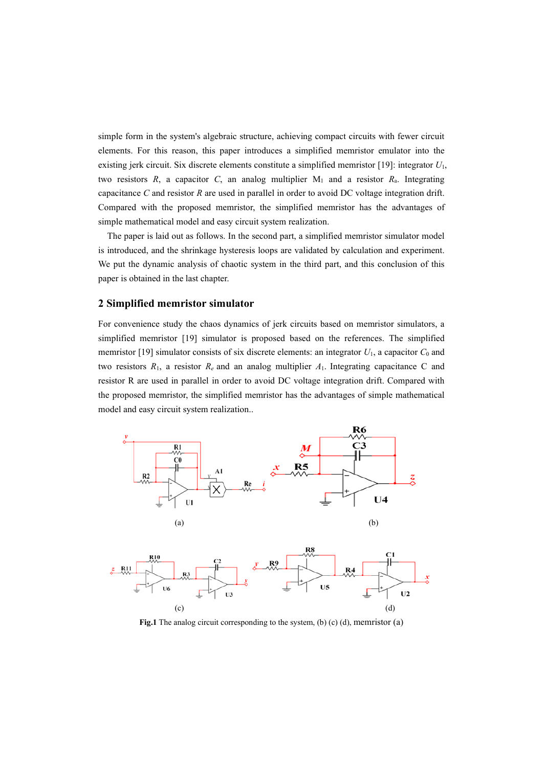simple form in the system's algebraic structure, achieving compact circuits with fewer circuit elements. For this reason, this paper introduces a simplified memristor emulator into the existing jerk circuit. Six discrete elements constitute a simplified memristor [19]: integrator *U*1, two resistors  $R$ , a capacitor  $C$ , an analog multiplier  $M_1$  and a resistor  $R_a$ . Integrating capacitance *C* and resistor *R* are used in parallel in order to avoid DC voltage integration drift. Compared with the proposed memristor, the simplified memristor has the advantages of simple mathematical model and easy circuit system realization.

The paper is laid out as follows. In the second part, a simplified memristor simulator model is introduced, and the shrinkage hysteresis loops are validated by calculation and experiment. We put the dynamic analysis of chaotic system in the third part, and this conclusion of this paper is obtained in the last chapter.

# **2 Simplified memristor simulator**

For convenience study the chaos dynamics of jerk circuits based on memristor simulators, a simplified memristor [19] simulator is proposed based on the references. The simplified memristor [19] simulator consists of six discrete elements: an integrator  $U_1$ , a capacitor  $C_0$  and two resistors  $R_1$ , a resistor  $R_e$  and an analog multiplier  $A_1$ . Integrating capacitance C and resistor R are used in parallel in order to avoid DC voltage integration drift. Compared with the proposed memristor, the simplified memristor has the advantages of simple mathematical model and easy circuit system realization..





**Fig.1** The analog circuit corresponding to the system, (b) (c) (d), memristor (a)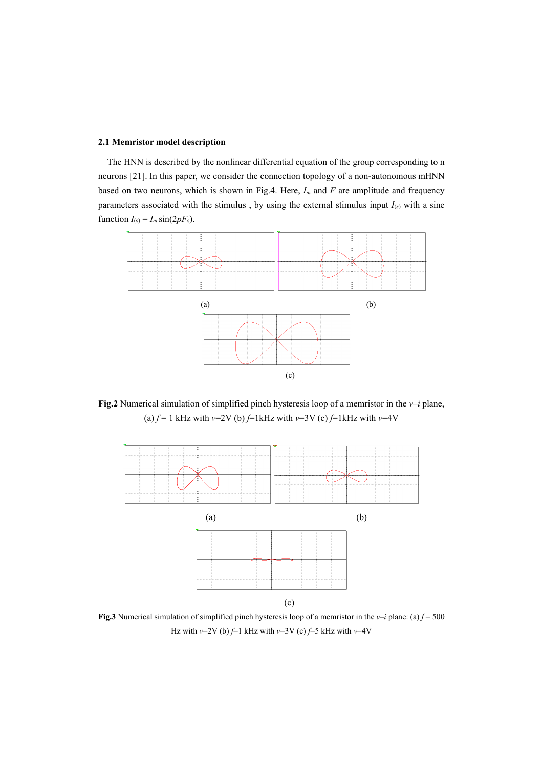#### **2.1 Memristor model description**

The HNN is described by the nonlinear differential equation of the group corresponding to n neurons [21]. In this paper, we consider the connection topology of a non-autonomous mHNN based on two neurons, which is shown in Fig.4. Here, *Im* and *F* are amplitude and frequency parameters associated with the stimulus, by using the external stimulus input  $I_{(s)}$  with a sine function  $I_{(s)} = I_m \sin(2pF_s)$ .



**Fig.2** Numerical simulation of simplified pinch hysteresis loop of a memristor in the *v*–*i* plane, (a)  $f = 1$  kHz with  $v=2V$  (b)  $f=1$ kHz with  $v=3V$  (c)  $f=1$ kHz with  $v=4V$ 



**Fig.3** Numerical simulation of simplified pinch hysteresis loop of a memristor in the *v*–*i* plane: (a)  $f = 500$ Hz with  $v=2V$  (b)  $f=1$  kHz with  $v=3V$  (c)  $f=5$  kHz with  $v=4V$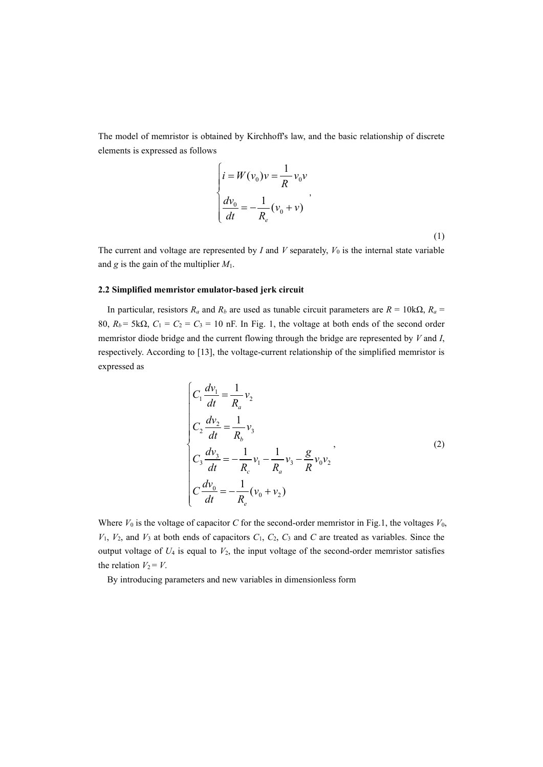The model of memristor is obtained by Kirchhoff's law, and the basic relationship of discrete elements is expressed as follows

$$
\begin{cases}\ni = W(v_0)v = \frac{1}{R}v_0v \\
\frac{dv_0}{dt} = -\frac{1}{R_e}(v_0 + v)\n\end{cases}
$$
\n(1)

The current and voltage are represented by  $I$  and  $V$  separately,  $V_0$  is the internal state variable and *g* is the gain of the multiplier *M*1.

## **2.2 Simplified memristor emulator-based jerk circuit**

In particular, resistors  $R_a$  and  $R_b$  are used as tunable circuit parameters are  $R = 10k\Omega$ ,  $R_a =$ 80,  $R_b$  = 5k $\Omega$ ,  $C_1$  =  $C_2$  =  $C_3$  = 10 nF. In Fig. 1, the voltage at both ends of the second order memristor diode bridge and the current flowing through the bridge are represented by *V* and *I*, respectively. According to [13], the voltage-current relationship of the simplified memristor is expressed as

$$
\begin{cases}\nC_1 \frac{dv_1}{dt} = \frac{1}{R_a} v_2 \\
C_2 \frac{dv_2}{dt} = \frac{1}{R_b} v_3 \\
C_3 \frac{dv_3}{dt} = -\frac{1}{R_c} v_1 - \frac{1}{R_a} v_3 - \frac{g}{R} v_0 v_2 \\
C_3 \frac{dv_0}{dt} = -\frac{1}{R_e} (v_0 + v_2)\n\end{cases} (2)
$$

Where  $V_0$  is the voltage of capacitor  $C$  for the second-order memristor in Fig.1, the voltages  $V_0$ ,  $V_1$ ,  $V_2$ , and  $V_3$  at both ends of capacitors  $C_1$ ,  $C_2$ ,  $C_3$  and  $C$  are treated as variables. Since the output voltage of  $U_4$  is equal to  $V_2$ , the input voltage of the second-order memristor satisfies the relation  $V_2 = V$ .

By introducing parameters and new variables in dimensionless form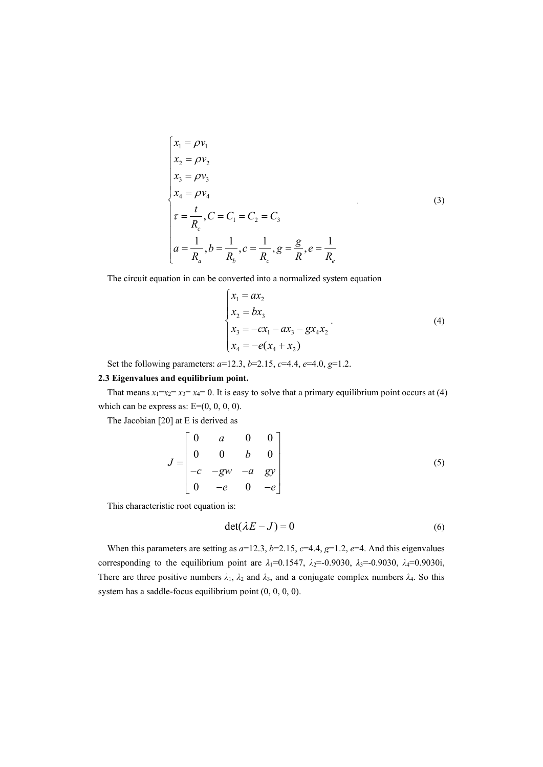$$
\begin{cases}\n x_1 = \rho v_1 \\
 x_2 = \rho v_2 \\
 x_3 = \rho v_3 \\
 x_4 = \rho v_4 \\
 \tau = \frac{t}{R_c}, C = C_1 = C_2 = C_3 \\
 a = \frac{1}{R_a}, b = \frac{1}{R_b}, c = \frac{1}{R_c}, g = \frac{g}{R}, e = \frac{1}{R_e}\n\end{cases}
$$
\n(3)

The circuit equation in can be converted into a normalized system equation

$$
\begin{cases}\n x_1 = ax_2 \\
 x_2 = bx_3 \\
 x_3 = -cx_1 - ax_3 - gx_4x_2 \\
 x_4 = -e(x_4 + x_2)\n\end{cases}
$$
\n(4)

Set the following parameters:  $a=12.3$ ,  $b=2.15$ ,  $c=4.4$ ,  $e=4.0$ ,  $g=1.2$ .

#### **2.3 Eigenvalues and equilibrium point.**

That means  $x_1=x_2=x_3=x_4=0$ . It is easy to solve that a primary equilibrium point occurs at (4) which can be express as:  $E=(0, 0, 0, 0)$ .

The Jacobian [20] at E is derived as

$$
J = \begin{bmatrix} 0 & a & 0 & 0 \\ 0 & 0 & b & 0 \\ -c & -gw & -a & gy \\ 0 & -e & 0 & -e \end{bmatrix}
$$
 (5)

This characteristic root equation is:

$$
\det(\lambda E - J) = 0 \tag{6}
$$

When this parameters are setting as  $a=12.3$ ,  $b=2.15$ ,  $c=4.4$ ,  $g=1.2$ ,  $e=4$ . And this eigenvalues corresponding to the equilibrium point are  $\lambda_1 = 0.1547$ ,  $\lambda_2 = -0.9030$ ,  $\lambda_3 = -0.9030$ ,  $\lambda_4 = 0.9030$ i, There are three positive numbers  $\lambda_1$ ,  $\lambda_2$  and  $\lambda_3$ , and a conjugate complex numbers  $\lambda_4$ . So this system has a saddle-focus equilibrium point (0, 0, 0, 0).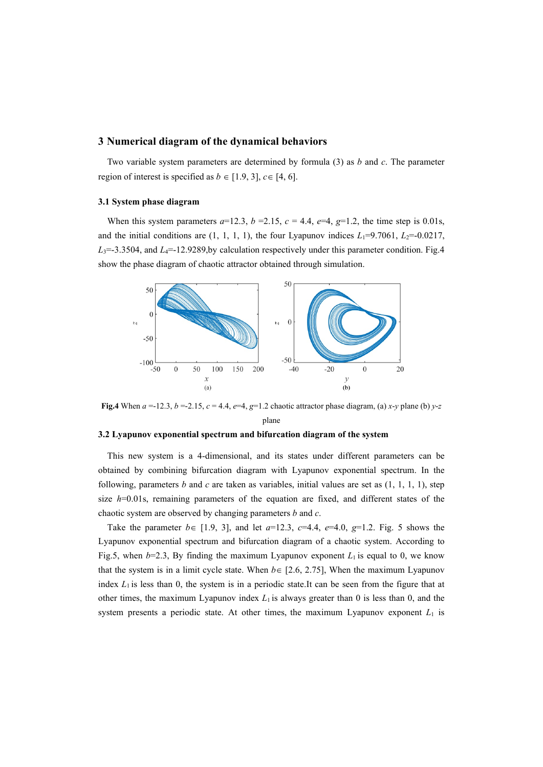## **3 Numerical diagram of the dynamical behaviors**

Two variable system parameters are determined by formula (3) as *b* and *c*. The parameter region of interest is specified as  $b \in [1.9, 3]$ ,  $c \in [4, 6]$ .

#### **3.1 System phase diagram**

When this system parameters  $a=12.3$ ,  $b=2.15$ ,  $c=4.4$ ,  $e=4$ ,  $g=1.2$ , the time step is 0.01s, and the initial conditions are  $(1, 1, 1, 1)$ , the four Lyapunov indices  $L_1=9.7061$ ,  $L_2=-0.0217$ ,  $L_3 = -3.3504$ , and  $L_4 = -12.9289$ , by calculation respectively under this parameter condition. Fig. 4 show the phase diagram of chaotic attractor obtained through simulation.



**Fig.4** When  $a = -12.3$ ,  $b = -2.15$ ,  $c = 4.4$ ,  $e = 4$ ,  $g = 1.2$  chaotic attractor phase diagram, (a) *x*-*y* plane (b) *y*-*z* plane

## **3.2 Lyapunov exponential spectrum and bifurcation diagram of the system**

This new system is a 4-dimensional, and its states under different parameters can be obtained by combining bifurcation diagram with Lyapunov exponential spectrum. In the following, parameters *b* and *c* are taken as variables, initial values are set as  $(1, 1, 1, 1)$ , step size  $h=0.01$ s, remaining parameters of the equation are fixed, and different states of the chaotic system are observed by changing parameters *b* and *c*.

Take the parameter *b*∈ [1.9, 3], and let *a*=12.3, *c*=4.4, *e*=4.0, *g*=1.2. Fig. 5 shows the Lyapunov exponential spectrum and bifurcation diagram of a chaotic system. According to Fig.5, when  $b=2.3$ , By finding the maximum Lyapunov exponent  $L_1$  is equal to 0, we know that the system is in a limit cycle state. When  $b \in [2.6, 2.75]$ , When the maximum Lyapunov index  $L_1$  is less than 0, the system is in a periodic state.It can be seen from the figure that at other times, the maximum Lyapunov index  $L_1$  is always greater than 0 is less than 0, and the system presents a periodic state. At other times, the maximum Lyapunov exponent  $L_1$  is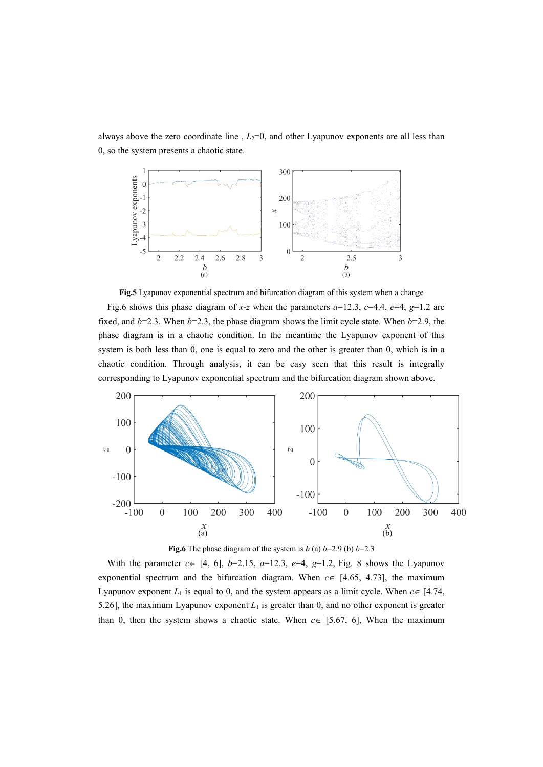always above the zero coordinate line,  $L_2=0$ , and other Lyapunov exponents are all less than 0, so the system presents a chaotic state.



**Fig.5** Lyapunov exponential spectrum and bifurcation diagram of this system when a change

Fig.6 shows this phase diagram of *x*-*z* when the parameters  $a=12.3$ ,  $c=4.4$ ,  $e=4$ ,  $g=1.2$  are fixed, and  $b=2.3$ . When  $b=2.3$ , the phase diagram shows the limit cycle state. When  $b=2.9$ , the phase diagram is in a chaotic condition. In the meantime the Lyapunov exponent of this system is both less than 0, one is equal to zero and the other is greater than 0, which is in a chaotic condition. Through analysis, it can be easy seen that this result is integrally corresponding to Lyapunov exponential spectrum and the bifurcation diagram shown above.





With the parameter  $c \in [4, 6]$ ,  $b=2.15$ ,  $a=12.3$ ,  $e=4$ ,  $g=1.2$ , Fig. 8 shows the Lyapunov exponential spectrum and the bifurcation diagram. When  $c \in [4.65, 4.73]$ , the maximum Lyapunov exponent  $L_1$  is equal to 0, and the system appears as a limit cycle. When  $c \in [4.74,$ 5.26], the maximum Lyapunov exponent  $L_1$  is greater than 0, and no other exponent is greater than 0, then the system shows a chaotic state. When *c*∈ [5.67, 6], When the maximum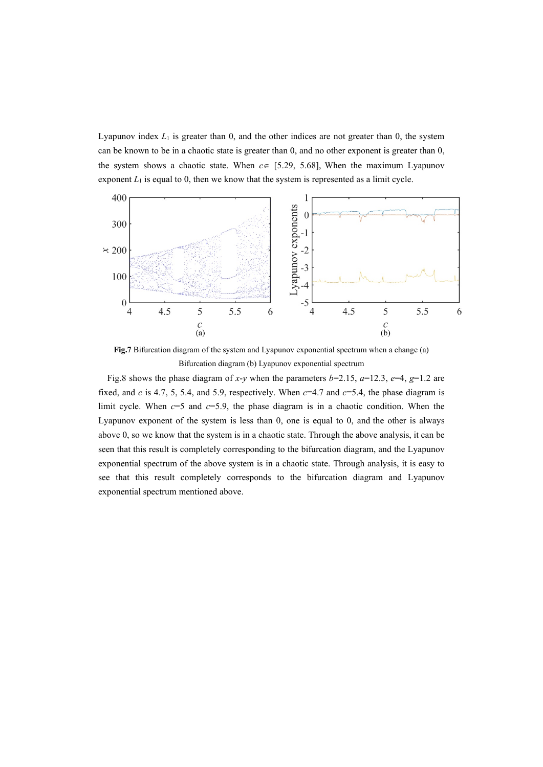Lyapunov index *L*<sup>1</sup> is greater than 0, and the other indices are not greater than 0, the system can be known to be in a chaotic state is greater than 0, and no other exponent is greater than 0, the system shows a chaotic state. When  $c \in [5.29, 5.68]$ , When the maximum Lyapunov exponent  $L_1$  is equal to 0, then we know that the system is represented as a limit cycle.



**Fig.7** Bifurcation diagram of the system and Lyapunov exponential spectrum when a change (a) Bifurcation diagram (b) Lyapunov exponential spectrum

Fig.8 shows the phase diagram of *x*-*y* when the parameters *b*=2.15, *a*=12.3, *e*=4, *g*=1.2 are fixed, and *c* is 4.7, 5, 5.4, and 5.9, respectively. When *c*=4.7 and *c*=5.4, the phase diagram is limit cycle. When  $c=5$  and  $c=5.9$ , the phase diagram is in a chaotic condition. When the Lyapunov exponent of the system is less than 0, one is equal to 0, and the other is always above 0, so we know that the system is in a chaotic state. Through the above analysis, it can be seen that this result is completely corresponding to the bifurcation diagram, and the Lyapunov exponential spectrum of the above system is in a chaotic state. Through analysis, it is easy to see that this result completely corresponds to the bifurcation diagram and Lyapunov exponential spectrum mentioned above.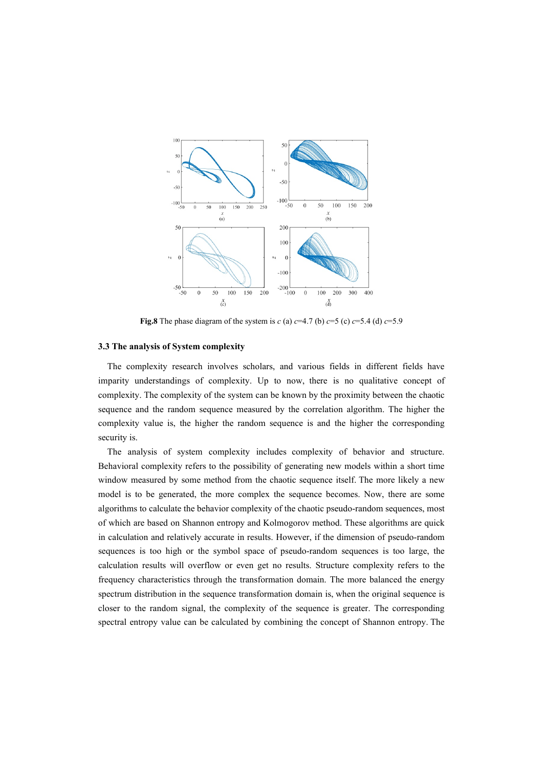

**Fig.8** The phase diagram of the system is *c* (a)  $c=4.7$  (b)  $c=5$  (c)  $c=5.4$  (d)  $c=5.9$ 

#### **3.3 The analysis of System complexity**

The complexity research involves scholars, and various fields in different fields have imparity understandings of complexity. Up to now, there is no qualitative concept of complexity. The complexity of the system can be known by the proximity between the chaotic sequence and the random sequence measured by the correlation algorithm. The higher the complexity value is, the higher the random sequence is and the higher the corresponding security is.

The analysis of system complexity includes complexity of behavior and structure. Behavioral complexity refers to the possibility of generating new models within a short time window measured by some method from the chaotic sequence itself. The more likely a new model is to be generated, the more complex the sequence becomes. Now, there are some algorithms to calculate the behavior complexity of the chaotic pseudo-random sequences, most of which are based on Shannon entropy and Kolmogorov method. These algorithms are quick in calculation and relatively accurate in results. However, if the dimension of pseudo-random sequences is too high or the symbol space of pseudo-random sequences is too large, the calculation results will overflow or even get no results. Structure complexity refers to the frequency characteristics through the transformation domain. The more balanced the energy spectrum distribution in the sequence transformation domain is, when the original sequence is closer to the random signal, the complexity of the sequence is greater. The corresponding spectral entropy value can be calculated by combining the concept of Shannon entropy. The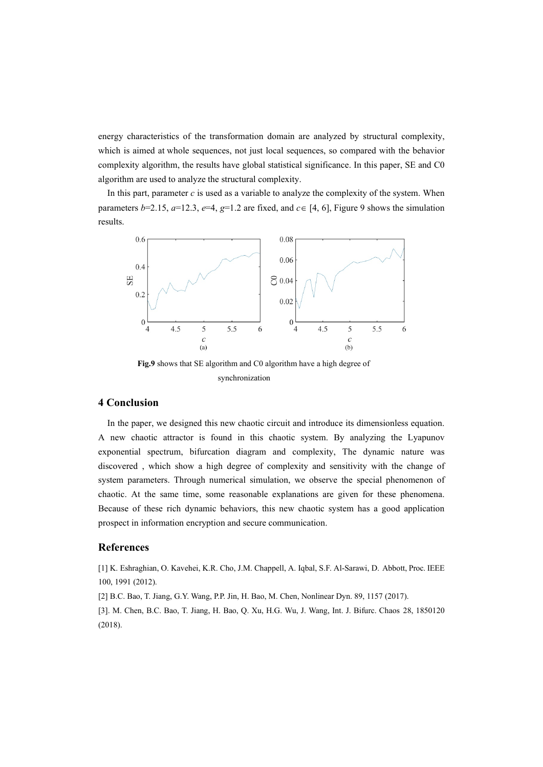energy characteristics of the transformation domain are analyzed by structural complexity, which is aimed at whole sequences, not just local sequences, so compared with the behavior complexity algorithm, the results have global statistical significance. In this paper, SE and C0 algorithm are used to analyze the structural complexity.

In this part, parameter  $c$  is used as a variable to analyze the complexity of the system. When parameters *b*=2.15,  $a=12.3$ ,  $e=4$ ,  $g=1.2$  are fixed, and  $c \in [4, 6]$ , Figure 9 shows the simulation results.



**Fig.9** shows that SE algorithm and C0 algorithm have a high degree of synchronization

# **4 Conclusion**

In the paper, we designed this new chaotic circuit and introduce its dimensionless equation. A new chaotic attractor is found in this chaotic system. By analyzing the Lyapunov exponential spectrum, bifurcation diagram and complexity, The dynamic nature was discovered , which show a high degree of complexity and sensitivity with the change of system parameters. Through numerical simulation, we observe the special phenomenon of chaotic. At the same time, some reasonable explanations are given for these phenomena. Because of these rich dynamic behaviors, this new chaotic system has a good application prospect in information encryption and secure communication.

# **References**

[1] K. Eshraghian, O. Kavehei, K.R. Cho, J.M. Chappell, A. Iqbal, S.F. Al-Sarawi, D. Abbott, Proc. IEEE 100, 1991 (2012).

[2] B.C. Bao, T. Jiang, G.Y. Wang, P.P. Jin, H. Bao, M. Chen, Nonlinear Dyn. 89, 1157 (2017).

[3]. M. Chen, B.C. Bao, T. Jiang, H. Bao, Q. Xu, H.G. Wu, J. Wang, Int. J. Bifurc. Chaos 28, 1850120 (2018).